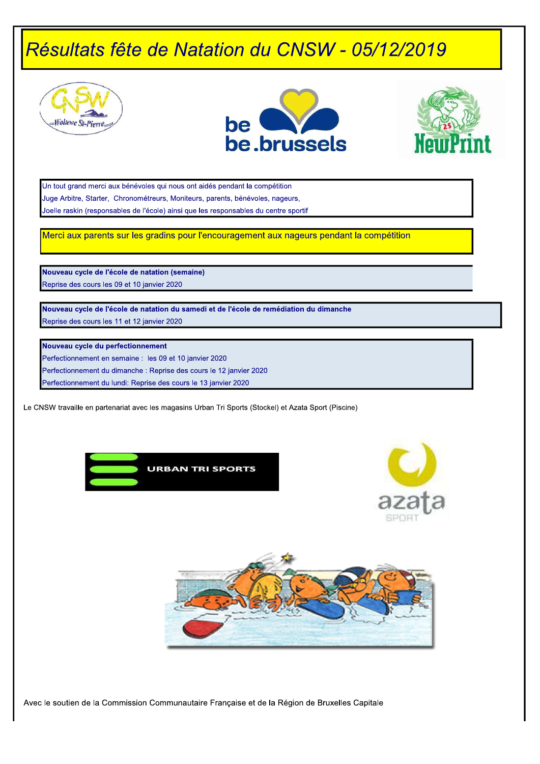





Un tout grand merci aux bénévoles qui nous ont aidés pendant la compétition Juge Arbitre, Starter, Chronométreurs, Moniteurs, parents, bénévoles, nageurs, Joelle raskin (responsables de l'école) ainsi que les responsables du centre sportif

Merci aux parents sur les gradins pour l'encouragement aux nageurs pendant la compétition

Nouveau cycle de l'école de natation (semaine) Reprise des cours les 09 et 10 janvier 2020

Nouveau cycle de l'école de natation du samedi et de l'école de remédiation du dimanche Reprise des cours les 11 et 12 janvier 2020

#### Nouveau cycle du perfectionnement

Perfectionnement en semaine : les 09 et 10 janvier 2020

Perfectionnement du dimanche : Reprise des cours le 12 janvier 2020

Perfectionnement du lundi: Reprise des cours le 13 janvier 2020

Le CNSW travaille en partenariat avec les magasins Urban Tri Sports (Stockel) et Azata Sport (Piscine)





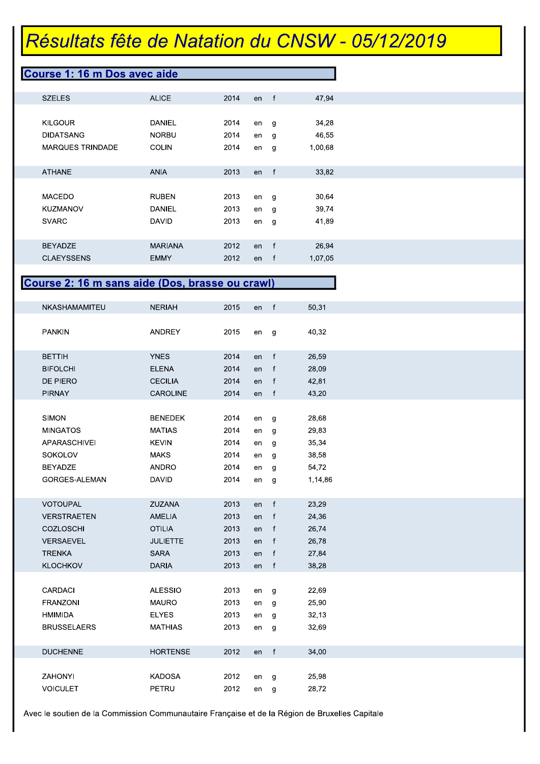#### Course 1: 16 m Dos avec aide

| <b>SZELES</b>           | <b>ALICE</b>   | 2014 | en | f | 47.94   |
|-------------------------|----------------|------|----|---|---------|
|                         |                |      |    |   |         |
| <b>KILGOUR</b>          | DANIEL         | 2014 | en | g | 34,28   |
| <b>DIDATSANG</b>        | <b>NORBU</b>   | 2014 | en | g | 46,55   |
| <b>MARQUES TRINDADE</b> | <b>COLIN</b>   | 2014 | en | g | 1,00,68 |
|                         |                |      |    |   |         |
| <b>ATHANE</b>           | <b>ANIA</b>    | 2013 | en | f | 33.82   |
|                         |                |      |    |   |         |
| <b>MACEDO</b>           | <b>RUBEN</b>   | 2013 | en | g | 30,64   |
| <b>KUZMANOV</b>         | DANIEL         | 2013 | en | g | 39,74   |
| <b>SVARC</b>            | <b>DAVID</b>   | 2013 | en | g | 41,89   |
|                         |                |      |    |   |         |
| <b>BEYADZE</b>          | <b>MARIANA</b> | 2012 | en | f | 26.94   |
| <b>CLAEYSSENS</b>       | <b>EMMY</b>    | 2012 | en | f | 1,07,05 |

#### Course 2: 16 m sans aide (Dos, brasse ou crawl)

| NKASHAMAMITEU      | <b>NERIAH</b>   | 2015 | en | $\mathsf{f}$ | 50,31   |
|--------------------|-----------------|------|----|--------------|---------|
|                    |                 |      |    |              |         |
| <b>PANKIN</b>      | <b>ANDREY</b>   | 2015 | en | g            | 40,32   |
|                    |                 |      |    |              |         |
| <b>BETTIH</b>      | <b>YNES</b>     | 2014 | en | $\mathsf{f}$ | 26,59   |
| <b>BIFOLCHI</b>    | <b>ELENA</b>    | 2014 | en | $\mathsf{f}$ | 28,09   |
| DE PIERO           | <b>CECILIA</b>  | 2014 | en | $\mathsf{f}$ | 42,81   |
| <b>PIRNAY</b>      | <b>CAROLINE</b> | 2014 | en | $-f$         | 43,20   |
|                    |                 |      |    |              |         |
| <b>SIMON</b>       | <b>BENEDEK</b>  | 2014 | en | g            | 28,68   |
| <b>MINGATOS</b>    | <b>MATIAS</b>   | 2014 | en | g            | 29,83   |
| APARASCHIVEI       | <b>KEVIN</b>    | 2014 | en | g            | 35,34   |
| SOKOLOV            | <b>MAKS</b>     | 2014 | en | g            | 38,58   |
| <b>BEYADZE</b>     | <b>ANDRO</b>    | 2014 | en | g            | 54,72   |
| GORGES-ALEMAN      | <b>DAVID</b>    | 2014 | en | g            | 1,14,86 |
|                    |                 |      |    |              |         |
| <b>VOTOUPAL</b>    | <b>ZUZANA</b>   | 2013 | en | f            | 23,29   |
| <b>VERSTRAETEN</b> | <b>AMELIA</b>   | 2013 | en | $\mathsf{f}$ | 24,36   |
| <b>COZLOSCHI</b>   | <b>OTILIA</b>   | 2013 | en | $\mathsf{f}$ | 26,74   |
| <b>VERSAEVEL</b>   | <b>JULIETTE</b> | 2013 | en | $\mathsf{f}$ | 26,78   |
| <b>TRENKA</b>      | <b>SARA</b>     | 2013 | en | $\mathsf{f}$ | 27,84   |
| <b>KLOCHKOV</b>    | <b>DARIA</b>    | 2013 | en | f            | 38,28   |
|                    |                 |      |    |              |         |
| CARDACI            | <b>ALESSIO</b>  | 2013 | en | g            | 22,69   |
| <b>FRANZONI</b>    | <b>MAURO</b>    | 2013 | en | g            | 25,90   |
| <b>HMIMIDA</b>     | <b>ELYES</b>    | 2013 | en | g            | 32,13   |
| <b>BRUSSELAERS</b> | <b>MATHIAS</b>  | 2013 | en | g            | 32,69   |
|                    |                 |      |    |              |         |
| <b>DUCHENNE</b>    | <b>HORTENSE</b> | 2012 | en | $\mathsf{f}$ | 34,00   |
|                    |                 |      |    |              |         |
| ZAHONYI            | <b>KADOSA</b>   | 2012 | en | g            | 25,98   |
| <b>VOICULET</b>    | PETRU           | 2012 | en | g            | 28,72   |
|                    |                 |      |    |              |         |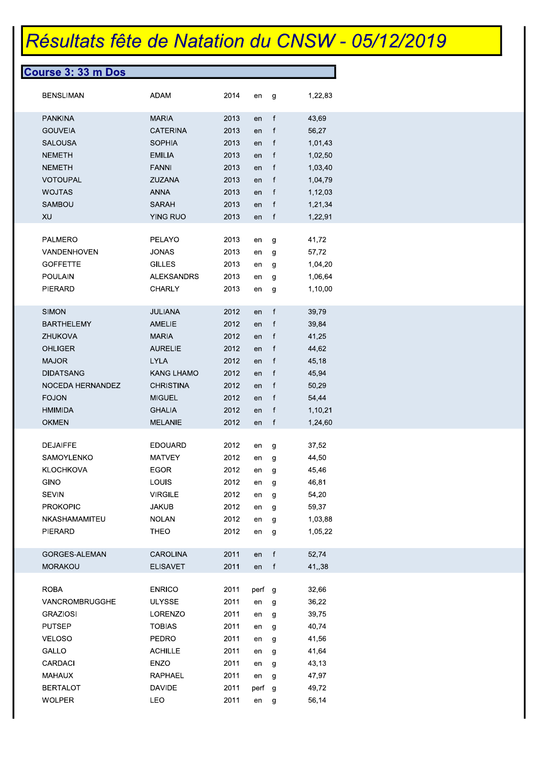| <b>Course 3: 33 m Dos</b> |                   |      |        |              |         |  |
|---------------------------|-------------------|------|--------|--------------|---------|--|
| <b>BENSLIMAN</b>          | <b>ADAM</b>       | 2014 | en     | g            | 1,22,83 |  |
| <b>PANKINA</b>            | <b>MARIA</b>      | 2013 | en     | $\mathsf{f}$ | 43,69   |  |
| <b>GOUVEIA</b>            | <b>CATERINA</b>   | 2013 | en     | f            | 56,27   |  |
| <b>SALOUSA</b>            | <b>SOPHIA</b>     | 2013 | en     | $\mathbf f$  | 1,01,43 |  |
| <b>NEMETH</b>             | <b>EMILIA</b>     | 2013 | en     | $\mathbf{f}$ | 1,02,50 |  |
| <b>NEMETH</b>             | <b>FANNI</b>      | 2013 | en     | $\mathbf f$  | 1,03,40 |  |
| VOTOUPAL                  | <b>ZUZANA</b>     | 2013 | en     | $\mathsf{f}$ | 1,04,79 |  |
| <b>WOJTAS</b>             | <b>ANNA</b>       | 2013 | en     | $\mathbf f$  | 1,12,03 |  |
| <b>SAMBOU</b>             | <b>SARAH</b>      | 2013 | en     | $\mathbf{f}$ | 1,21,34 |  |
| XU                        | YING RUO          | 2013 | en     | $\mathbf f$  | 1,22,91 |  |
| <b>PALMERO</b>            | PELAYO            | 2013 | en     | g            | 41,72   |  |
| VANDENHOVEN               | <b>JONAS</b>      | 2013 | en     | g            | 57,72   |  |
| <b>GOFFETTE</b>           | <b>GILLES</b>     | 2013 | en     | g            | 1,04,20 |  |
| <b>POULAIN</b>            | <b>ALEKSANDRS</b> | 2013 | en     | g            | 1,06,64 |  |
| PIERARD                   | <b>CHARLY</b>     | 2013 | en     | g            | 1,10,00 |  |
| <b>SIMON</b>              | <b>JULIANA</b>    | 2012 | en     | $\mathsf{f}$ | 39,79   |  |
| <b>BARTHELEMY</b>         | <b>AMELIE</b>     | 2012 | en     | $\mathbf{f}$ | 39,84   |  |
| <b>ZHUKOVA</b>            | <b>MARIA</b>      | 2012 | en     | $\mathsf{f}$ | 41,25   |  |
| <b>OHLIGER</b>            | <b>AURELIE</b>    | 2012 | en     | $\mathsf{f}$ | 44,62   |  |
| <b>MAJOR</b>              | <b>LYLA</b>       | 2012 | en     | $\mathsf{f}$ | 45,18   |  |
| <b>DIDATSANG</b>          | <b>KANG LHAMO</b> | 2012 | en     | $\mathbf f$  | 45,94   |  |
| NOCEDA HERNANDEZ          | <b>CHRISTINA</b>  | 2012 | en     | $\mathsf{f}$ | 50,29   |  |
| <b>FOJON</b>              | <b>MIGUEL</b>     | 2012 | en     | $\mathbf f$  | 54,44   |  |
| <b>HMIMIDA</b>            | <b>GHALIA</b>     | 2012 | en     | f            | 1,10,21 |  |
| <b>OKMEN</b>              | <b>MELANIE</b>    | 2012 | en f   |              | 1,24,60 |  |
| <b>DEJAIFFE</b>           | <b>EDOUARD</b>    | 2012 | en     | g            | 37,52   |  |
| SAMOYLENKO                | <b>MATVEY</b>     | 2012 | en     | g            | 44,50   |  |
| <b>KLOCHKOVA</b>          | <b>EGOR</b>       | 2012 | en     | g            | 45,46   |  |
| <b>GINO</b>               | <b>LOUIS</b>      | 2012 | en     | g            | 46,81   |  |
| SEVIN                     | <b>VIRGILE</b>    | 2012 | en     | g            | 54,20   |  |
| <b>PROKOPIC</b>           | <b>JAKUB</b>      | 2012 | en     | g            | 59,37   |  |
| NKASHAMAMITEU             | <b>NOLAN</b>      | 2012 | en     | g            | 1,03,88 |  |
| PIERARD                   | <b>THEO</b>       | 2012 | en     | g            | 1,05,22 |  |
| GORGES-ALEMAN             | CAROLINA          | 2011 | en     | f            | 52,74   |  |
| MORAKOU                   | <b>ELISAVET</b>   | 2011 | en f   |              | 41,,38  |  |
| <b>ROBA</b>               | <b>ENRICO</b>     | 2011 | perf g |              | 32,66   |  |
| VANCROMBRUGGHE            | <b>ULYSSE</b>     | 2011 | en     | g            | 36,22   |  |
| <b>GRAZIOSI</b>           | LORENZO           | 2011 | en     | g            | 39,75   |  |
| <b>PUTSEP</b>             | <b>TOBIAS</b>     | 2011 | en     | g            | 40,74   |  |
| <b>VELOSO</b>             | PEDRO             | 2011 | en     | g            | 41,56   |  |
| GALLO                     | <b>ACHILLE</b>    | 2011 | en     | g            | 41,64   |  |
| CARDACI                   | ENZO              | 2011 | en     | g            | 43,13   |  |
| MAHAUX                    | <b>RAPHAEL</b>    | 2011 | en     | g            | 47,97   |  |
| <b>BERTALOT</b>           | <b>DAVIDE</b>     | 2011 | perf g |              | 49,72   |  |
| <b>WOLPER</b>             | LEO               | 2011 | en g   |              | 56,14   |  |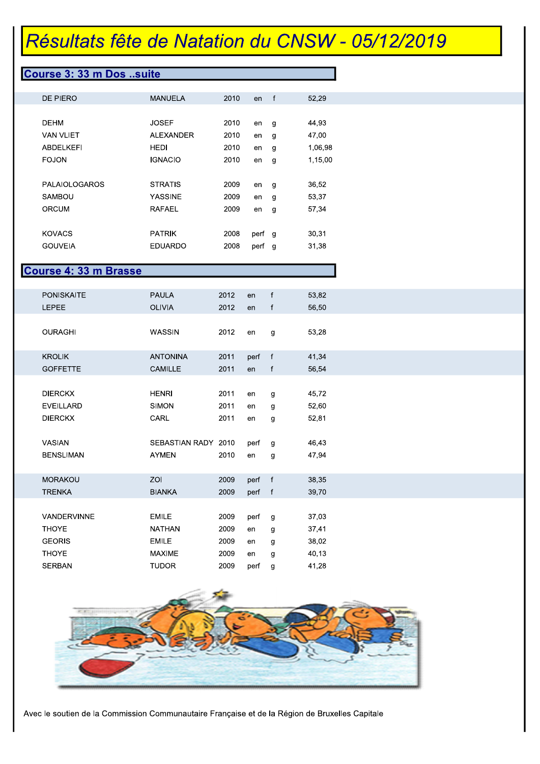#### Course 3: 33 m Dos ..suite

| DE PIERO             | MANUELA          | 2010 | en   | f | 52,29   |
|----------------------|------------------|------|------|---|---------|
|                      |                  |      |      |   |         |
| <b>DEHM</b>          | JOSEF            | 2010 | en   | g | 44,93   |
| <b>VAN VLIET</b>     | <b>ALEXANDER</b> | 2010 | en   | g | 47,00   |
| ABDELKEFI            | HEDI             | 2010 | en   | g | 1,06,98 |
| <b>FOJON</b>         | <b>IGNACIO</b>   | 2010 | en   | g | 1,15,00 |
|                      |                  |      |      |   |         |
| <b>PALAIOLOGAROS</b> | <b>STRATIS</b>   | 2009 | en   | g | 36,52   |
| SAMBOU               | YASSINE          | 2009 | en   | g | 53,37   |
| ORCUM                | RAFAEL           | 2009 | en   | g | 57,34   |
|                      |                  |      |      |   |         |
| <b>KOVACS</b>        | PATRIK           | 2008 | perf | g | 30,31   |
| <b>GOUVEIA</b>       | EDUARDO          | 2008 | perf | g | 31,38   |

#### Course 4: 33 m Brasse

| <b>PONISKAITE</b>  | <b>PAULA</b>        | 2012 | en     | f            | 53,82 |
|--------------------|---------------------|------|--------|--------------|-------|
| <b>LEPEE</b>       | <b>OLIVIA</b>       | 2012 | en     | $\mathsf{f}$ | 56,50 |
|                    |                     |      |        |              |       |
| <b>OURAGHI</b>     | WASSIN              | 2012 | en     | g            | 53,28 |
|                    |                     |      |        |              |       |
| <b>KROLIK</b>      | <b>ANTONINA</b>     | 2011 | perf   | $-f$         | 41,34 |
| <b>GOFFETTE</b>    | <b>CAMILLE</b>      | 2011 | en     | f            | 56,54 |
|                    |                     |      |        |              |       |
| <b>DIERCKX</b>     | <b>HENRI</b>        | 2011 | en     | g            | 45,72 |
| <b>EVEILLARD</b>   | <b>SIMON</b>        | 2011 | en     | g            | 52,60 |
| <b>DIERCKX</b>     | CARL                | 2011 | en     | g            | 52,81 |
|                    |                     |      |        |              |       |
| VASIAN             | SEBASTIAN RADY 2010 |      | perf   |              | 46,43 |
|                    |                     |      |        | g            |       |
| <b>BENSLIMAN</b>   | <b>AYMEN</b>        | 2010 | en     | g            | 47,94 |
|                    |                     |      |        |              |       |
| <b>MORAKOU</b>     | ZOI                 | 2009 | perf   | $-$ f        | 38,35 |
| <b>TRENKA</b>      | <b>BIANKA</b>       | 2009 | perf f |              | 39,70 |
|                    |                     |      |        |              |       |
| <b>VANDERVINNE</b> | <b>EMILE</b>        | 2009 | perf   | g            | 37,03 |
| <b>THOYE</b>       | <b>NATHAN</b>       | 2009 | en     | g            | 37,41 |
| <b>GEORIS</b>      | <b>EMILE</b>        | 2009 | en     | g            | 38,02 |
| <b>THOYE</b>       | <b>MAXIME</b>       | 2009 | en     | g            | 40,13 |
| <b>SERBAN</b>      | <b>TUDOR</b>        | 2009 | perf   | g            | 41,28 |
|                    |                     |      |        |              |       |

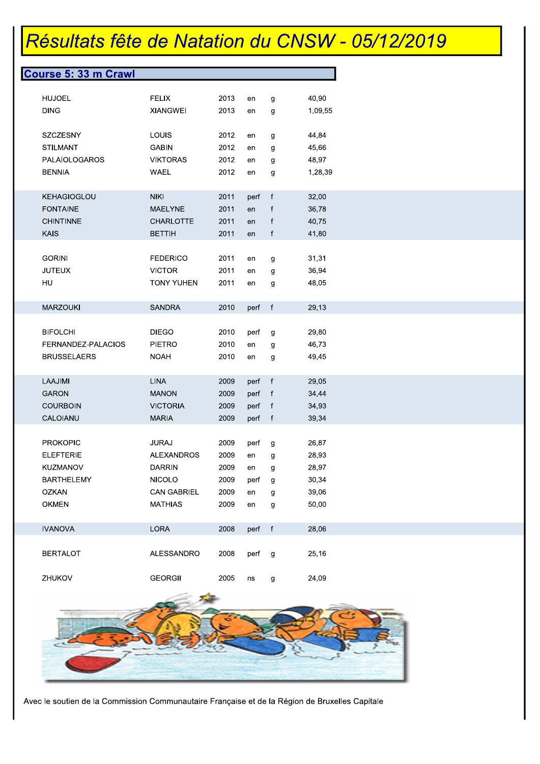| <b>HUJOEL</b><br><b>FELIX</b><br>2013<br>40,90<br>g<br>en<br><b>DING</b><br><b>XIANGWEI</b><br>2013<br>1,09,55<br>en<br>g<br>SZCZESNY<br><b>LOUIS</b><br>2012<br>44,84<br>en<br>g<br>2012<br><b>STILMANT</b><br><b>GABIN</b><br>45,66<br>en<br>g<br>PALAIOLOGAROS<br><b>VIKTORAS</b><br>2012<br>48,97<br>en<br>g<br>2012<br><b>BENNIA</b><br>WAEL<br>1,28,39<br>en<br>g<br><b>KEHAGIOGLOU</b><br>2011<br>32,00<br><b>NIKI</b><br>perf<br>$\mathsf{f}$<br><b>FONTAINE</b><br><b>MAELYNE</b><br>2011<br>f<br>36,78<br>en<br><b>CHINTINNE</b><br>2011<br><b>CHARLOTTE</b><br>f<br>40,75<br>en<br><b>KAIS</b><br><b>BETTIH</b><br>2011<br>f<br>41,80<br>en<br><b>GORINI</b><br><b>FEDERICO</b><br>2011<br>31,31<br>en<br>g<br><b>JUTEUX</b><br><b>VICTOR</b><br>2011<br>36,94<br>g<br>en<br>HU<br><b>TONY YUHEN</b><br>2011<br>48,05<br>g<br>en<br><b>MARZOUKI</b><br><b>SANDRA</b><br>2010<br>f<br>29,13<br>perf<br><b>BIFOLCHI</b><br><b>DIEGO</b><br>2010<br>29,80<br>perf<br>g<br><b>PIETRO</b><br>2010<br>46,73<br>FERNANDEZ-PALACIOS<br>g<br>en<br><b>BRUSSELAERS</b><br>2010<br><b>NOAH</b><br>49,45<br>en<br>g<br>LAAJIMI<br><b>LINA</b><br>2009<br>$-f$<br>29,05<br>perf<br><b>GARON</b><br><b>MANON</b><br>2009<br>$-f$<br>34,44<br>perf<br>2009<br><b>COURBOIN</b><br><b>VICTORIA</b><br>34,93<br>perf<br>$-f$<br>CALOIANU<br><b>MARIA</b><br>2009<br>39,34<br>perf f<br><b>PROKOPIC</b><br><b>JURAJ</b><br>2009<br>26,87<br>perf<br>g<br><b>ELEFTERIE</b><br><b>ALEXANDROS</b><br>2009<br>28,93<br>en<br>g<br><b>KUZMANOV</b><br><b>DARRIN</b><br>2009<br>28,97<br>g<br>en<br><b>BARTHELEMY</b><br><b>NICOLO</b><br>2009<br>30,34<br>perf<br>g<br><b>OZKAN</b><br><b>CAN GABRIEL</b><br>39,06<br>2009<br>en<br>g<br>2009<br><b>OKMEN</b><br><b>MATHIAS</b><br>50,00<br>en<br>g<br><b>IVANOVA</b><br>LORA<br>2008<br>$-f$<br>28,06<br>perf<br><b>BERTALOT</b><br>ALESSANDRO<br>2008<br>25,16<br>perf<br>g<br>ZHUKOV<br><b>GEORGII</b><br>2005<br>24,09<br>ns<br>g | Course 5: 33 m Crawl |  |  |  |
|--------------------------------------------------------------------------------------------------------------------------------------------------------------------------------------------------------------------------------------------------------------------------------------------------------------------------------------------------------------------------------------------------------------------------------------------------------------------------------------------------------------------------------------------------------------------------------------------------------------------------------------------------------------------------------------------------------------------------------------------------------------------------------------------------------------------------------------------------------------------------------------------------------------------------------------------------------------------------------------------------------------------------------------------------------------------------------------------------------------------------------------------------------------------------------------------------------------------------------------------------------------------------------------------------------------------------------------------------------------------------------------------------------------------------------------------------------------------------------------------------------------------------------------------------------------------------------------------------------------------------------------------------------------------------------------------------------------------------------------------------------------------------------------------------------------------------------------------------------------------------------------------------------------------------------------------------------------------------|----------------------|--|--|--|
|                                                                                                                                                                                                                                                                                                                                                                                                                                                                                                                                                                                                                                                                                                                                                                                                                                                                                                                                                                                                                                                                                                                                                                                                                                                                                                                                                                                                                                                                                                                                                                                                                                                                                                                                                                                                                                                                                                                                                                          |                      |  |  |  |
|                                                                                                                                                                                                                                                                                                                                                                                                                                                                                                                                                                                                                                                                                                                                                                                                                                                                                                                                                                                                                                                                                                                                                                                                                                                                                                                                                                                                                                                                                                                                                                                                                                                                                                                                                                                                                                                                                                                                                                          |                      |  |  |  |
|                                                                                                                                                                                                                                                                                                                                                                                                                                                                                                                                                                                                                                                                                                                                                                                                                                                                                                                                                                                                                                                                                                                                                                                                                                                                                                                                                                                                                                                                                                                                                                                                                                                                                                                                                                                                                                                                                                                                                                          |                      |  |  |  |
|                                                                                                                                                                                                                                                                                                                                                                                                                                                                                                                                                                                                                                                                                                                                                                                                                                                                                                                                                                                                                                                                                                                                                                                                                                                                                                                                                                                                                                                                                                                                                                                                                                                                                                                                                                                                                                                                                                                                                                          |                      |  |  |  |
|                                                                                                                                                                                                                                                                                                                                                                                                                                                                                                                                                                                                                                                                                                                                                                                                                                                                                                                                                                                                                                                                                                                                                                                                                                                                                                                                                                                                                                                                                                                                                                                                                                                                                                                                                                                                                                                                                                                                                                          |                      |  |  |  |
|                                                                                                                                                                                                                                                                                                                                                                                                                                                                                                                                                                                                                                                                                                                                                                                                                                                                                                                                                                                                                                                                                                                                                                                                                                                                                                                                                                                                                                                                                                                                                                                                                                                                                                                                                                                                                                                                                                                                                                          |                      |  |  |  |
|                                                                                                                                                                                                                                                                                                                                                                                                                                                                                                                                                                                                                                                                                                                                                                                                                                                                                                                                                                                                                                                                                                                                                                                                                                                                                                                                                                                                                                                                                                                                                                                                                                                                                                                                                                                                                                                                                                                                                                          |                      |  |  |  |
|                                                                                                                                                                                                                                                                                                                                                                                                                                                                                                                                                                                                                                                                                                                                                                                                                                                                                                                                                                                                                                                                                                                                                                                                                                                                                                                                                                                                                                                                                                                                                                                                                                                                                                                                                                                                                                                                                                                                                                          |                      |  |  |  |
|                                                                                                                                                                                                                                                                                                                                                                                                                                                                                                                                                                                                                                                                                                                                                                                                                                                                                                                                                                                                                                                                                                                                                                                                                                                                                                                                                                                                                                                                                                                                                                                                                                                                                                                                                                                                                                                                                                                                                                          |                      |  |  |  |
|                                                                                                                                                                                                                                                                                                                                                                                                                                                                                                                                                                                                                                                                                                                                                                                                                                                                                                                                                                                                                                                                                                                                                                                                                                                                                                                                                                                                                                                                                                                                                                                                                                                                                                                                                                                                                                                                                                                                                                          |                      |  |  |  |
|                                                                                                                                                                                                                                                                                                                                                                                                                                                                                                                                                                                                                                                                                                                                                                                                                                                                                                                                                                                                                                                                                                                                                                                                                                                                                                                                                                                                                                                                                                                                                                                                                                                                                                                                                                                                                                                                                                                                                                          |                      |  |  |  |
|                                                                                                                                                                                                                                                                                                                                                                                                                                                                                                                                                                                                                                                                                                                                                                                                                                                                                                                                                                                                                                                                                                                                                                                                                                                                                                                                                                                                                                                                                                                                                                                                                                                                                                                                                                                                                                                                                                                                                                          |                      |  |  |  |
|                                                                                                                                                                                                                                                                                                                                                                                                                                                                                                                                                                                                                                                                                                                                                                                                                                                                                                                                                                                                                                                                                                                                                                                                                                                                                                                                                                                                                                                                                                                                                                                                                                                                                                                                                                                                                                                                                                                                                                          |                      |  |  |  |
|                                                                                                                                                                                                                                                                                                                                                                                                                                                                                                                                                                                                                                                                                                                                                                                                                                                                                                                                                                                                                                                                                                                                                                                                                                                                                                                                                                                                                                                                                                                                                                                                                                                                                                                                                                                                                                                                                                                                                                          |                      |  |  |  |
|                                                                                                                                                                                                                                                                                                                                                                                                                                                                                                                                                                                                                                                                                                                                                                                                                                                                                                                                                                                                                                                                                                                                                                                                                                                                                                                                                                                                                                                                                                                                                                                                                                                                                                                                                                                                                                                                                                                                                                          |                      |  |  |  |
|                                                                                                                                                                                                                                                                                                                                                                                                                                                                                                                                                                                                                                                                                                                                                                                                                                                                                                                                                                                                                                                                                                                                                                                                                                                                                                                                                                                                                                                                                                                                                                                                                                                                                                                                                                                                                                                                                                                                                                          |                      |  |  |  |
|                                                                                                                                                                                                                                                                                                                                                                                                                                                                                                                                                                                                                                                                                                                                                                                                                                                                                                                                                                                                                                                                                                                                                                                                                                                                                                                                                                                                                                                                                                                                                                                                                                                                                                                                                                                                                                                                                                                                                                          |                      |  |  |  |
|                                                                                                                                                                                                                                                                                                                                                                                                                                                                                                                                                                                                                                                                                                                                                                                                                                                                                                                                                                                                                                                                                                                                                                                                                                                                                                                                                                                                                                                                                                                                                                                                                                                                                                                                                                                                                                                                                                                                                                          |                      |  |  |  |
|                                                                                                                                                                                                                                                                                                                                                                                                                                                                                                                                                                                                                                                                                                                                                                                                                                                                                                                                                                                                                                                                                                                                                                                                                                                                                                                                                                                                                                                                                                                                                                                                                                                                                                                                                                                                                                                                                                                                                                          |                      |  |  |  |
|                                                                                                                                                                                                                                                                                                                                                                                                                                                                                                                                                                                                                                                                                                                                                                                                                                                                                                                                                                                                                                                                                                                                                                                                                                                                                                                                                                                                                                                                                                                                                                                                                                                                                                                                                                                                                                                                                                                                                                          |                      |  |  |  |
|                                                                                                                                                                                                                                                                                                                                                                                                                                                                                                                                                                                                                                                                                                                                                                                                                                                                                                                                                                                                                                                                                                                                                                                                                                                                                                                                                                                                                                                                                                                                                                                                                                                                                                                                                                                                                                                                                                                                                                          |                      |  |  |  |
|                                                                                                                                                                                                                                                                                                                                                                                                                                                                                                                                                                                                                                                                                                                                                                                                                                                                                                                                                                                                                                                                                                                                                                                                                                                                                                                                                                                                                                                                                                                                                                                                                                                                                                                                                                                                                                                                                                                                                                          |                      |  |  |  |
|                                                                                                                                                                                                                                                                                                                                                                                                                                                                                                                                                                                                                                                                                                                                                                                                                                                                                                                                                                                                                                                                                                                                                                                                                                                                                                                                                                                                                                                                                                                                                                                                                                                                                                                                                                                                                                                                                                                                                                          |                      |  |  |  |
|                                                                                                                                                                                                                                                                                                                                                                                                                                                                                                                                                                                                                                                                                                                                                                                                                                                                                                                                                                                                                                                                                                                                                                                                                                                                                                                                                                                                                                                                                                                                                                                                                                                                                                                                                                                                                                                                                                                                                                          |                      |  |  |  |
|                                                                                                                                                                                                                                                                                                                                                                                                                                                                                                                                                                                                                                                                                                                                                                                                                                                                                                                                                                                                                                                                                                                                                                                                                                                                                                                                                                                                                                                                                                                                                                                                                                                                                                                                                                                                                                                                                                                                                                          |                      |  |  |  |
|                                                                                                                                                                                                                                                                                                                                                                                                                                                                                                                                                                                                                                                                                                                                                                                                                                                                                                                                                                                                                                                                                                                                                                                                                                                                                                                                                                                                                                                                                                                                                                                                                                                                                                                                                                                                                                                                                                                                                                          |                      |  |  |  |
|                                                                                                                                                                                                                                                                                                                                                                                                                                                                                                                                                                                                                                                                                                                                                                                                                                                                                                                                                                                                                                                                                                                                                                                                                                                                                                                                                                                                                                                                                                                                                                                                                                                                                                                                                                                                                                                                                                                                                                          |                      |  |  |  |
|                                                                                                                                                                                                                                                                                                                                                                                                                                                                                                                                                                                                                                                                                                                                                                                                                                                                                                                                                                                                                                                                                                                                                                                                                                                                                                                                                                                                                                                                                                                                                                                                                                                                                                                                                                                                                                                                                                                                                                          |                      |  |  |  |
|                                                                                                                                                                                                                                                                                                                                                                                                                                                                                                                                                                                                                                                                                                                                                                                                                                                                                                                                                                                                                                                                                                                                                                                                                                                                                                                                                                                                                                                                                                                                                                                                                                                                                                                                                                                                                                                                                                                                                                          |                      |  |  |  |
|                                                                                                                                                                                                                                                                                                                                                                                                                                                                                                                                                                                                                                                                                                                                                                                                                                                                                                                                                                                                                                                                                                                                                                                                                                                                                                                                                                                                                                                                                                                                                                                                                                                                                                                                                                                                                                                                                                                                                                          |                      |  |  |  |
|                                                                                                                                                                                                                                                                                                                                                                                                                                                                                                                                                                                                                                                                                                                                                                                                                                                                                                                                                                                                                                                                                                                                                                                                                                                                                                                                                                                                                                                                                                                                                                                                                                                                                                                                                                                                                                                                                                                                                                          |                      |  |  |  |
|                                                                                                                                                                                                                                                                                                                                                                                                                                                                                                                                                                                                                                                                                                                                                                                                                                                                                                                                                                                                                                                                                                                                                                                                                                                                                                                                                                                                                                                                                                                                                                                                                                                                                                                                                                                                                                                                                                                                                                          |                      |  |  |  |
|                                                                                                                                                                                                                                                                                                                                                                                                                                                                                                                                                                                                                                                                                                                                                                                                                                                                                                                                                                                                                                                                                                                                                                                                                                                                                                                                                                                                                                                                                                                                                                                                                                                                                                                                                                                                                                                                                                                                                                          |                      |  |  |  |
|                                                                                                                                                                                                                                                                                                                                                                                                                                                                                                                                                                                                                                                                                                                                                                                                                                                                                                                                                                                                                                                                                                                                                                                                                                                                                                                                                                                                                                                                                                                                                                                                                                                                                                                                                                                                                                                                                                                                                                          |                      |  |  |  |
|                                                                                                                                                                                                                                                                                                                                                                                                                                                                                                                                                                                                                                                                                                                                                                                                                                                                                                                                                                                                                                                                                                                                                                                                                                                                                                                                                                                                                                                                                                                                                                                                                                                                                                                                                                                                                                                                                                                                                                          |                      |  |  |  |
|                                                                                                                                                                                                                                                                                                                                                                                                                                                                                                                                                                                                                                                                                                                                                                                                                                                                                                                                                                                                                                                                                                                                                                                                                                                                                                                                                                                                                                                                                                                                                                                                                                                                                                                                                                                                                                                                                                                                                                          |                      |  |  |  |
|                                                                                                                                                                                                                                                                                                                                                                                                                                                                                                                                                                                                                                                                                                                                                                                                                                                                                                                                                                                                                                                                                                                                                                                                                                                                                                                                                                                                                                                                                                                                                                                                                                                                                                                                                                                                                                                                                                                                                                          |                      |  |  |  |
|                                                                                                                                                                                                                                                                                                                                                                                                                                                                                                                                                                                                                                                                                                                                                                                                                                                                                                                                                                                                                                                                                                                                                                                                                                                                                                                                                                                                                                                                                                                                                                                                                                                                                                                                                                                                                                                                                                                                                                          |                      |  |  |  |
|                                                                                                                                                                                                                                                                                                                                                                                                                                                                                                                                                                                                                                                                                                                                                                                                                                                                                                                                                                                                                                                                                                                                                                                                                                                                                                                                                                                                                                                                                                                                                                                                                                                                                                                                                                                                                                                                                                                                                                          |                      |  |  |  |
|                                                                                                                                                                                                                                                                                                                                                                                                                                                                                                                                                                                                                                                                                                                                                                                                                                                                                                                                                                                                                                                                                                                                                                                                                                                                                                                                                                                                                                                                                                                                                                                                                                                                                                                                                                                                                                                                                                                                                                          |                      |  |  |  |
|                                                                                                                                                                                                                                                                                                                                                                                                                                                                                                                                                                                                                                                                                                                                                                                                                                                                                                                                                                                                                                                                                                                                                                                                                                                                                                                                                                                                                                                                                                                                                                                                                                                                                                                                                                                                                                                                                                                                                                          |                      |  |  |  |
|                                                                                                                                                                                                                                                                                                                                                                                                                                                                                                                                                                                                                                                                                                                                                                                                                                                                                                                                                                                                                                                                                                                                                                                                                                                                                                                                                                                                                                                                                                                                                                                                                                                                                                                                                                                                                                                                                                                                                                          |                      |  |  |  |
|                                                                                                                                                                                                                                                                                                                                                                                                                                                                                                                                                                                                                                                                                                                                                                                                                                                                                                                                                                                                                                                                                                                                                                                                                                                                                                                                                                                                                                                                                                                                                                                                                                                                                                                                                                                                                                                                                                                                                                          |                      |  |  |  |

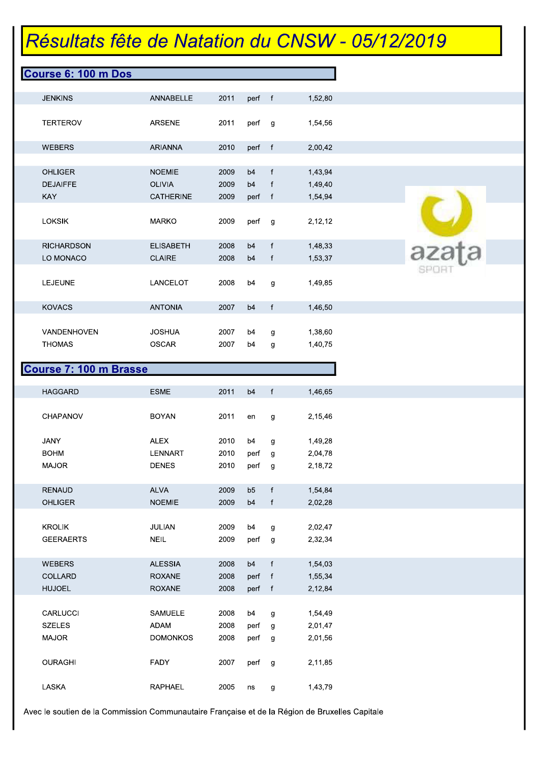|                                 | <b>Course 6: 100 m Dos</b> |              |                      |              |                    |       |
|---------------------------------|----------------------------|--------------|----------------------|--------------|--------------------|-------|
| <b>JENKINS</b>                  | ANNABELLE                  | 2011         | perf f               |              | 1,52,80            |       |
| <b>TERTEROV</b>                 | ARSENE                     | 2011         | perf g               |              | 1,54,56            |       |
| <b>WEBERS</b>                   | <b>ARIANNA</b>             | 2010         | perf f               |              | 2,00,42            |       |
| <b>OHLIGER</b>                  | <b>NOEMIE</b>              | 2009         | b4                   | f            | 1,43,94            |       |
| <b>DEJAIFFE</b>                 | <b>OLIVIA</b>              | 2009         | b4                   | f            | 1,49,40            |       |
| <b>KAY</b>                      | <b>CATHERINE</b>           | 2009         | perf f               |              | 1,54,94            |       |
| <b>LOKSIK</b>                   | <b>MARKO</b>               | 2009         | perf g               |              | 2,12,12            |       |
| <b>RICHARDSON</b>               | <b>ELISABETH</b>           | 2008         | b4                   | $\mathbf{f}$ | 1,48,33            | azata |
| LO MONACO                       | <b>CLAIRE</b>              | 2008         | b4                   | f            | 1,53,37            |       |
|                                 |                            |              |                      |              |                    |       |
| <b>LEJEUNE</b>                  | LANCELOT                   | 2008         | b4                   | g            | 1,49,85            |       |
| <b>KOVACS</b>                   | <b>ANTONIA</b>             | 2007         | b4                   | f            | 1,46,50            |       |
| VANDENHOVEN                     | <b>JOSHUA</b>              | 2007         | b4                   | g            | 1,38,60            |       |
| <b>THOMAS</b>                   | <b>OSCAR</b>               | 2007         | b4                   | g            | 1,40,75            |       |
| <b>HAGGARD</b>                  | <b>ESME</b>                | 2011         | b4                   | f            | 1,46,65            |       |
|                                 |                            |              | en                   | g            | 2,15,46            |       |
| CHAPANOV                        | <b>BOYAN</b>               | 2011         |                      |              |                    |       |
|                                 |                            |              |                      |              |                    |       |
| <b>JANY</b><br><b>BOHM</b>      | <b>ALEX</b><br>LENNART     | 2010<br>2010 | b4<br>perf           | g<br>g       | 1,49,28            |       |
| <b>MAJOR</b>                    | <b>DENES</b>               | 2010         | perf                 | g            | 2,04,78<br>2,18,72 |       |
|                                 |                            |              |                      | f            |                    |       |
| <b>RENAUD</b><br><b>OHLIGER</b> | ALVA<br><b>NOEMIE</b>      | 2009<br>2009 | b5<br>b <sub>4</sub> | f            | 1,54,84<br>2,02,28 |       |
|                                 |                            |              |                      |              |                    |       |
| <b>KROLIK</b>                   | JULIAN                     | 2009         | b4                   | g            | 2,02,47            |       |
| <b>GEERAERTS</b>                | <b>NEIL</b>                | 2009         | perf                 | g            | 2,32,34            |       |
| WEBERS                          | <b>ALESSIA</b>             | 2008         | b <sub>4</sub>       | f            | 1,54,03            |       |
| COLLARD                         | <b>ROXANE</b>              | 2008         | perf                 | $-f$         | 1,55,34            |       |
| <b>HUJOEL</b>                   | <b>ROXANE</b>              | 2008         | perf f               |              | 2,12,84            |       |
| CARLUCCI                        | SAMUELE                    | 2008         | b4                   | g            | 1,54,49            |       |
| <b>SZELES</b>                   | ADAM                       | 2008         | perf                 | $\mathbf{g}$ | 2,01,47            |       |
| MAJOR                           | <b>DOMONKOS</b>            | 2008         | perf                 | g            | 2,01,56            |       |
| <b>OURAGHI</b>                  | FADY                       | 2007         | perf                 | g            | 2,11,85            |       |